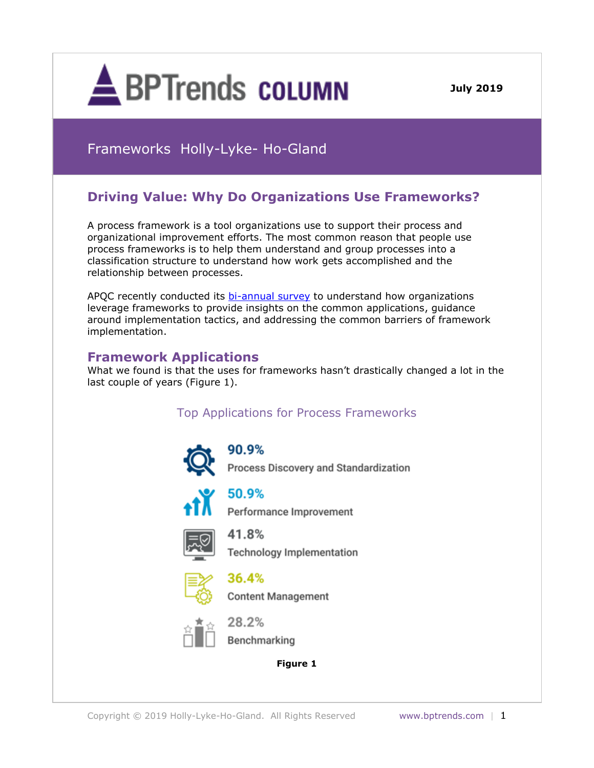

**December 3, 2013 July 2019**

# Frameworks Holly-Lyke- Ho-Gland

## **Driving Value: Why Do Organizations Use Frameworks?**

A process framework is a tool organizations use to support their process and organizational improvement efforts. The most common reason that people use process frameworks is to help them understand and group processes into a classification structure to understand how work gets accomplished and the relationship between processes.

APQC recently conducted its [bi-annual survey](https://www.apqc.org/knowledge-base/documents/putting-process-frameworks-action-survey-summary-report) to understand how organizations leverage frameworks to provide insights on the common applications, guidance around implementation tactics, and addressing the common barriers of framework implementation.

### **Framework Applications**

What we found is that the uses for frameworks hasn't drastically changed a lot in the last couple of years (Figure 1).

## Top Applications for Process Frameworks



90.9% Process Discovery and Standardization



50.9%

Performance Improvement



41.8% **Technology Implementation** 



36.4% **Content Management** 



28.2%



#### **Figure 1**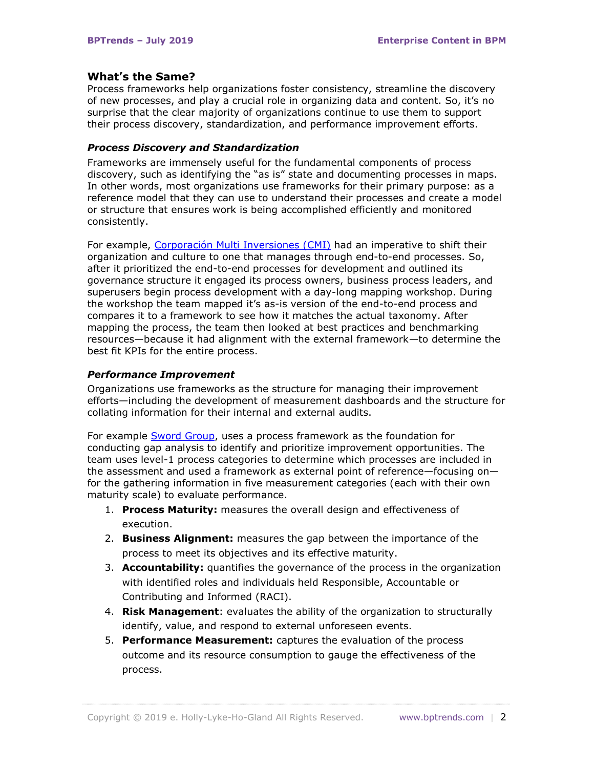#### **What's the Same?**

Process frameworks help organizations foster consistency, streamline the discovery of new processes, and play a crucial role in organizing data and content. So, it's no surprise that the clear majority of organizations continue to use them to support their process discovery, standardization, and performance improvement efforts.

#### *Process Discovery and Standardization*

Frameworks are immensely useful for the fundamental components of process discovery, such as identifying the "as is" state and documenting processes in maps. In other words, most organizations use frameworks for their primary purpose: as a reference model that they can use to understand their processes and create a model or structure that ensures work is being accomplished efficiently and monitored consistently.

For example, [Corporación Multi Inversiones \(CMI\)](https://www.apqc.org/knowledge-base/documents/establishing-end-end-processes-corporaci-n-multi-inversiones-cmi-case-study) had an imperative to shift their organization and culture to one that manages through end-to-end processes. So, after it prioritized the end-to-end processes for development and outlined its governance structure it engaged its process owners, business process leaders, and superusers begin process development with a day-long mapping workshop. During the workshop the team mapped it's as-is version of the end-to-end process and compares it to a framework to see how it matches the actual taxonomy. After mapping the process, the team then looked at best practices and benchmarking resources—because it had alignment with the external framework—to determine the best fit KPIs for the entire process.

#### *Performance Improvement*

Organizations use frameworks as the structure for managing their improvement efforts—including the development of measurement dashboards and the structure for collating information for their internal and external audits.

For example [Sword Group,](https://www.apqc.org/knowledge-base/documents/process-frameworks-and-gap-analysis-sword-group-case-study) uses a process framework as the foundation for conducting gap analysis to identify and prioritize improvement opportunities. The team uses level-1 process categories to determine which processes are included in the assessment and used a framework as external point of reference—focusing on for the gathering information in five measurement categories (each with their own maturity scale) to evaluate performance.

- 1. **Process Maturity:** measures the overall design and effectiveness of execution.
- 2. **Business Alignment:** measures the gap between the importance of the process to meet its objectives and its effective maturity.
- 3. **Accountability:** quantifies the governance of the process in the organization with identified roles and individuals held Responsible, Accountable or Contributing and Informed (RACI).
- 4. **Risk Management**: evaluates the ability of the organization to structurally identify, value, and respond to external unforeseen events.
- 5. **Performance Measurement:** captures the evaluation of the process outcome and its resource consumption to gauge the effectiveness of the process.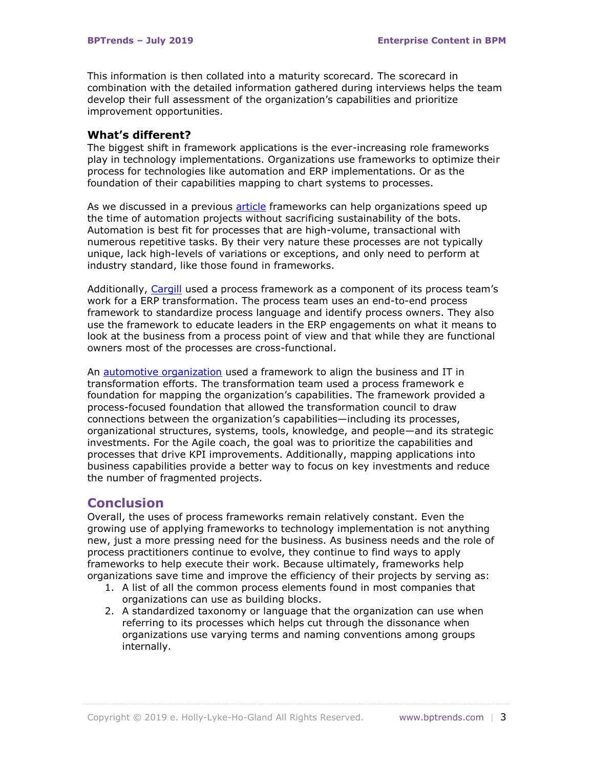This information is then collated into a maturity scorecard. The scorecard in combination with the detailed information gathered during interviews helps the team develop their full assessment of the organization's capabilities and prioritize improvement opportunities.

### **What's different?**

The biggest shift in framework applications is the ever-increasing role frameworks play in technology implementations. Organizations use frameworks to optimize their process for technologies like automation and ERP implementations. Or as the foundation of their capabilities mapping to chart systems to processes.

As we discussed in a previous [article](https://www.bptrends.com/process-frameworks-faster-process-automation-without-sacrificing-stability/) frameworks can help organizations speed up the time of automation projects without sacrificing sustainability of the bots. Automation is best fit for processes that are high-volume, transactional with numerous repetitive tasks. By their very nature these processes are not typically unique, lack high-levels of variations or exceptions, and only need to perform at industry standard, like those found in frameworks.

Additionally, [Cargill](https://www.apqc.org/knowledge-base/documents/securing-alignment-enterprise-resource-planning-and-it-transformations-carg) used a process framework as a component of its process team's work for a ERP transformation. The process team uses an end-to-end process framework to standardize process language and identify process owners. They also use the framework to educate leaders in the ERP engagements on what it means to look at the business from a process point of view and that while they are functional owners most of the processes are cross-functional.

An [automotive organization](https://www.apqc.org/knowledge-base/documents/transforming-be-product-driven-automotive-organization-case-study) used a framework to align the business and IT in transformation efforts. The transformation team used a process framework e foundation for mapping the organization's capabilities. The framework provided a process-focused foundation that allowed the transformation council to draw connections between the organization's capabilities—including its processes, organizational structures, systems, tools, knowledge, and people—and its strategic investments. For the Agile coach, the goal was to prioritize the capabilities and processes that drive KPI improvements. Additionally, mapping applications into business capabilities provide a better way to focus on key investments and reduce the number of fragmented projects.

### **Conclusion**

Overall, the uses of process frameworks remain relatively constant. Even the growing use of applying frameworks to technology implementation is not anything new, just a more pressing need for the business. As business needs and the role of process practitioners continue to evolve, they continue to find ways to apply frameworks to help execute their work. Because ultimately, frameworks help organizations save time and improve the efficiency of their projects by serving as:

- 1. A list of all the common process elements found in most companies that organizations can use as building blocks.
- 2. A standardized taxonomy or language that the organization can use when referring to its processes which helps cut through the dissonance when organizations use varying terms and naming conventions among groups internally.